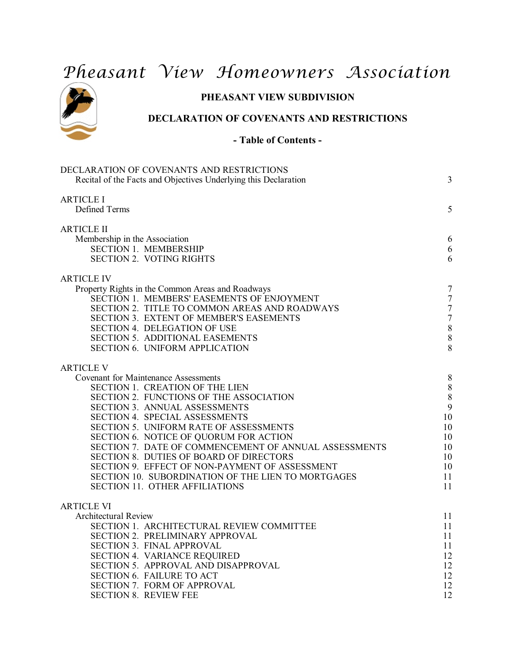# *Pheasant View Homeowners Association*



# **PHEASANT VIEW SUBDIVISION**

# **DECLARATION OF COVENANTS AND RESTRICTIONS**

# **- Table of Contents -**

| <b>ARTICLE I</b><br>Defined Terms<br>ARTICLE II<br>Membership in the Association<br><b>SECTION 1. MEMBERSHIP</b><br><b>SECTION 2. VOTING RIGHTS</b><br><b>ARTICLE IV</b><br>Property Rights in the Common Areas and Roadways<br>SECTION 1. MEMBERS' EASEMENTS OF ENJOYMENT<br>SECTION 2. TITLE TO COMMON AREAS AND ROADWAYS<br>SECTION 3. EXTENT OF MEMBER'S EASEMENTS<br>SECTION 4. DELEGATION OF USE<br>SECTION 5. ADDITIONAL EASEMENTS<br><b>SECTION 6. UNIFORM APPLICATION</b><br><b>ARTICLE V</b><br><b>Covenant for Maintenance Assessments</b><br>SECTION 1. CREATION OF THE LIEN<br>SECTION 2. FUNCTIONS OF THE ASSOCIATION<br>SECTION 3. ANNUAL ASSESSMENTS<br>SECTION 4. SPECIAL ASSESSMENTS<br>SECTION 5. UNIFORM RATE OF ASSESSMENTS<br>SECTION 6. NOTICE OF QUORUM FOR ACTION<br>SECTION 7. DATE OF COMMENCEMENT OF ANNUAL ASSESSMENTS<br>SECTION 8. DUTIES OF BOARD OF DIRECTORS<br>SECTION 9. EFFECT OF NON-PAYMENT OF ASSESSMENT<br>SECTION 10. SUBORDINATION OF THE LIEN TO MORTGAGES<br><b>SECTION 11. OTHER AFFILIATIONS</b><br><b>ARTICLE VI</b><br><b>Architectural Review</b><br>SECTION 1. ARCHITECTURAL REVIEW COMMITTEE<br>SECTION 2. PRELIMINARY APPROVAL<br>SECTION 3. FINAL APPROVAL<br><b>SECTION 4. VARIANCE REQUIRED</b><br>SECTION 5. APPROVAL AND DISAPPROVAL<br><b>SECTION 6. FAILURE TO ACT</b> | DECLARATION OF COVENANTS AND RESTRICTIONS<br>Recital of the Facts and Objectives Underlying this Declaration | 3              |
|------------------------------------------------------------------------------------------------------------------------------------------------------------------------------------------------------------------------------------------------------------------------------------------------------------------------------------------------------------------------------------------------------------------------------------------------------------------------------------------------------------------------------------------------------------------------------------------------------------------------------------------------------------------------------------------------------------------------------------------------------------------------------------------------------------------------------------------------------------------------------------------------------------------------------------------------------------------------------------------------------------------------------------------------------------------------------------------------------------------------------------------------------------------------------------------------------------------------------------------------------------------------------------------------------------------------------------|--------------------------------------------------------------------------------------------------------------|----------------|
|                                                                                                                                                                                                                                                                                                                                                                                                                                                                                                                                                                                                                                                                                                                                                                                                                                                                                                                                                                                                                                                                                                                                                                                                                                                                                                                                    |                                                                                                              | 5              |
|                                                                                                                                                                                                                                                                                                                                                                                                                                                                                                                                                                                                                                                                                                                                                                                                                                                                                                                                                                                                                                                                                                                                                                                                                                                                                                                                    |                                                                                                              |                |
|                                                                                                                                                                                                                                                                                                                                                                                                                                                                                                                                                                                                                                                                                                                                                                                                                                                                                                                                                                                                                                                                                                                                                                                                                                                                                                                                    |                                                                                                              | 6              |
|                                                                                                                                                                                                                                                                                                                                                                                                                                                                                                                                                                                                                                                                                                                                                                                                                                                                                                                                                                                                                                                                                                                                                                                                                                                                                                                                    |                                                                                                              | 6              |
|                                                                                                                                                                                                                                                                                                                                                                                                                                                                                                                                                                                                                                                                                                                                                                                                                                                                                                                                                                                                                                                                                                                                                                                                                                                                                                                                    |                                                                                                              | 6              |
|                                                                                                                                                                                                                                                                                                                                                                                                                                                                                                                                                                                                                                                                                                                                                                                                                                                                                                                                                                                                                                                                                                                                                                                                                                                                                                                                    |                                                                                                              |                |
|                                                                                                                                                                                                                                                                                                                                                                                                                                                                                                                                                                                                                                                                                                                                                                                                                                                                                                                                                                                                                                                                                                                                                                                                                                                                                                                                    |                                                                                                              | $\overline{7}$ |
|                                                                                                                                                                                                                                                                                                                                                                                                                                                                                                                                                                                                                                                                                                                                                                                                                                                                                                                                                                                                                                                                                                                                                                                                                                                                                                                                    |                                                                                                              | $\overline{7}$ |
|                                                                                                                                                                                                                                                                                                                                                                                                                                                                                                                                                                                                                                                                                                                                                                                                                                                                                                                                                                                                                                                                                                                                                                                                                                                                                                                                    |                                                                                                              | $\overline{7}$ |
|                                                                                                                                                                                                                                                                                                                                                                                                                                                                                                                                                                                                                                                                                                                                                                                                                                                                                                                                                                                                                                                                                                                                                                                                                                                                                                                                    |                                                                                                              | $\overline{7}$ |
|                                                                                                                                                                                                                                                                                                                                                                                                                                                                                                                                                                                                                                                                                                                                                                                                                                                                                                                                                                                                                                                                                                                                                                                                                                                                                                                                    |                                                                                                              | 8              |
|                                                                                                                                                                                                                                                                                                                                                                                                                                                                                                                                                                                                                                                                                                                                                                                                                                                                                                                                                                                                                                                                                                                                                                                                                                                                                                                                    |                                                                                                              | 8              |
|                                                                                                                                                                                                                                                                                                                                                                                                                                                                                                                                                                                                                                                                                                                                                                                                                                                                                                                                                                                                                                                                                                                                                                                                                                                                                                                                    |                                                                                                              | 8              |
|                                                                                                                                                                                                                                                                                                                                                                                                                                                                                                                                                                                                                                                                                                                                                                                                                                                                                                                                                                                                                                                                                                                                                                                                                                                                                                                                    |                                                                                                              |                |
|                                                                                                                                                                                                                                                                                                                                                                                                                                                                                                                                                                                                                                                                                                                                                                                                                                                                                                                                                                                                                                                                                                                                                                                                                                                                                                                                    |                                                                                                              | 8              |
|                                                                                                                                                                                                                                                                                                                                                                                                                                                                                                                                                                                                                                                                                                                                                                                                                                                                                                                                                                                                                                                                                                                                                                                                                                                                                                                                    |                                                                                                              | 8              |
|                                                                                                                                                                                                                                                                                                                                                                                                                                                                                                                                                                                                                                                                                                                                                                                                                                                                                                                                                                                                                                                                                                                                                                                                                                                                                                                                    |                                                                                                              | 8              |
|                                                                                                                                                                                                                                                                                                                                                                                                                                                                                                                                                                                                                                                                                                                                                                                                                                                                                                                                                                                                                                                                                                                                                                                                                                                                                                                                    |                                                                                                              | 9<br>10        |
|                                                                                                                                                                                                                                                                                                                                                                                                                                                                                                                                                                                                                                                                                                                                                                                                                                                                                                                                                                                                                                                                                                                                                                                                                                                                                                                                    |                                                                                                              | 10             |
|                                                                                                                                                                                                                                                                                                                                                                                                                                                                                                                                                                                                                                                                                                                                                                                                                                                                                                                                                                                                                                                                                                                                                                                                                                                                                                                                    |                                                                                                              | 10             |
|                                                                                                                                                                                                                                                                                                                                                                                                                                                                                                                                                                                                                                                                                                                                                                                                                                                                                                                                                                                                                                                                                                                                                                                                                                                                                                                                    |                                                                                                              | 10             |
|                                                                                                                                                                                                                                                                                                                                                                                                                                                                                                                                                                                                                                                                                                                                                                                                                                                                                                                                                                                                                                                                                                                                                                                                                                                                                                                                    |                                                                                                              | 10             |
|                                                                                                                                                                                                                                                                                                                                                                                                                                                                                                                                                                                                                                                                                                                                                                                                                                                                                                                                                                                                                                                                                                                                                                                                                                                                                                                                    |                                                                                                              | 10             |
|                                                                                                                                                                                                                                                                                                                                                                                                                                                                                                                                                                                                                                                                                                                                                                                                                                                                                                                                                                                                                                                                                                                                                                                                                                                                                                                                    |                                                                                                              | 11             |
|                                                                                                                                                                                                                                                                                                                                                                                                                                                                                                                                                                                                                                                                                                                                                                                                                                                                                                                                                                                                                                                                                                                                                                                                                                                                                                                                    |                                                                                                              | 11             |
|                                                                                                                                                                                                                                                                                                                                                                                                                                                                                                                                                                                                                                                                                                                                                                                                                                                                                                                                                                                                                                                                                                                                                                                                                                                                                                                                    |                                                                                                              |                |
|                                                                                                                                                                                                                                                                                                                                                                                                                                                                                                                                                                                                                                                                                                                                                                                                                                                                                                                                                                                                                                                                                                                                                                                                                                                                                                                                    |                                                                                                              | 11             |
|                                                                                                                                                                                                                                                                                                                                                                                                                                                                                                                                                                                                                                                                                                                                                                                                                                                                                                                                                                                                                                                                                                                                                                                                                                                                                                                                    |                                                                                                              | 11             |
|                                                                                                                                                                                                                                                                                                                                                                                                                                                                                                                                                                                                                                                                                                                                                                                                                                                                                                                                                                                                                                                                                                                                                                                                                                                                                                                                    |                                                                                                              | 11             |
|                                                                                                                                                                                                                                                                                                                                                                                                                                                                                                                                                                                                                                                                                                                                                                                                                                                                                                                                                                                                                                                                                                                                                                                                                                                                                                                                    |                                                                                                              | 11             |
|                                                                                                                                                                                                                                                                                                                                                                                                                                                                                                                                                                                                                                                                                                                                                                                                                                                                                                                                                                                                                                                                                                                                                                                                                                                                                                                                    |                                                                                                              | 12             |
|                                                                                                                                                                                                                                                                                                                                                                                                                                                                                                                                                                                                                                                                                                                                                                                                                                                                                                                                                                                                                                                                                                                                                                                                                                                                                                                                    |                                                                                                              | 12             |
|                                                                                                                                                                                                                                                                                                                                                                                                                                                                                                                                                                                                                                                                                                                                                                                                                                                                                                                                                                                                                                                                                                                                                                                                                                                                                                                                    |                                                                                                              | 12             |
|                                                                                                                                                                                                                                                                                                                                                                                                                                                                                                                                                                                                                                                                                                                                                                                                                                                                                                                                                                                                                                                                                                                                                                                                                                                                                                                                    | SECTION 7. FORM OF APPROVAL                                                                                  | 12             |
| <b>SECTION 8. REVIEW FEE</b>                                                                                                                                                                                                                                                                                                                                                                                                                                                                                                                                                                                                                                                                                                                                                                                                                                                                                                                                                                                                                                                                                                                                                                                                                                                                                                       |                                                                                                              | 12             |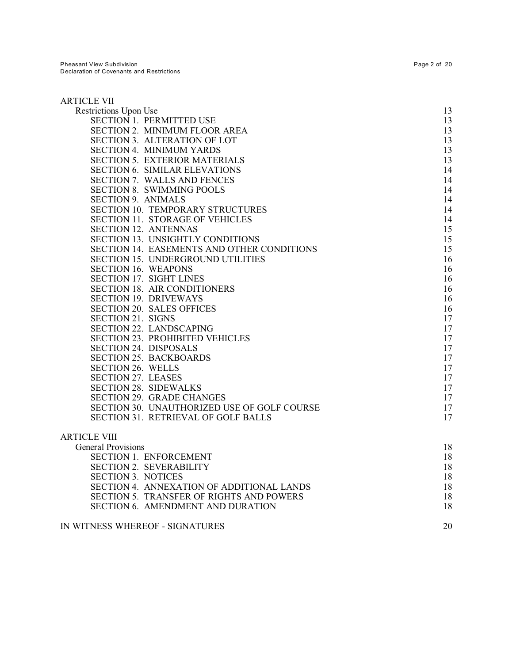| <b>ARTICLE VII</b>                          |    |
|---------------------------------------------|----|
| Restrictions Upon Use                       | 13 |
| <b>SECTION 1. PERMITTED USE</b>             | 13 |
| SECTION 2. MINIMUM FLOOR AREA               | 13 |
| SECTION 3. ALTERATION OF LOT                | 13 |
| <b>SECTION 4. MINIMUM YARDS</b>             | 13 |
| <b>SECTION 5. EXTERIOR MATERIALS</b>        | 13 |
| <b>SECTION 6. SIMILAR ELEVATIONS</b>        | 14 |
| <b>SECTION 7. WALLS AND FENCES</b>          | 14 |
| <b>SECTION 8. SWIMMING POOLS</b>            | 14 |
| <b>SECTION 9. ANIMALS</b>                   | 14 |
| SECTION 10. TEMPORARY STRUCTURES            | 14 |
| <b>SECTION 11. STORAGE OF VEHICLES</b>      | 14 |
| <b>SECTION 12. ANTENNAS</b>                 | 15 |
| <b>SECTION 13. UNSIGHTLY CONDITIONS</b>     | 15 |
| SECTION 14. EASEMENTS AND OTHER CONDITIONS  | 15 |
| SECTION 15. UNDERGROUND UTILITIES           | 16 |
| <b>SECTION 16. WEAPONS</b>                  | 16 |
| SECTION 17. SIGHT LINES                     | 16 |
| <b>SECTION 18. AIR CONDITIONERS</b>         | 16 |
| <b>SECTION 19. DRIVEWAYS</b>                | 16 |
| <b>SECTION 20. SALES OFFICES</b>            | 16 |
| SECTION 21. SIGNS                           | 17 |
| SECTION 22. LANDSCAPING                     | 17 |
| <b>SECTION 23. PROHIBITED VEHICLES</b>      | 17 |
| SECTION 24. DISPOSALS                       | 17 |
| <b>SECTION 25. BACKBOARDS</b>               | 17 |
| SECTION 26. WELLS                           | 17 |
| <b>SECTION 27. LEASES</b>                   | 17 |
| <b>SECTION 28. SIDEWALKS</b>                | 17 |
| <b>SECTION 29. GRADE CHANGES</b>            | 17 |
| SECTION 30. UNAUTHORIZED USE OF GOLF COURSE | 17 |
| SECTION 31. RETRIEVAL OF GOLF BALLS         | 17 |
| <b>ARTICLE VIII</b>                         |    |
| <b>General Provisions</b>                   | 18 |
| <b>SECTION 1. ENFORCEMENT</b>               | 18 |
| <b>SECTION 2. SEVERABILITY</b>              | 18 |
| <b>SECTION 3. NOTICES</b>                   | 18 |
| SECTION 4. ANNEXATION OF ADDITIONAL LANDS   | 18 |
| SECTION 5. TRANSFER OF RIGHTS AND POWERS    | 18 |
| SECTION 6. AMENDMENT AND DURATION           | 18 |
| IN WITNESS WHEREOF - SIGNATURES             | 20 |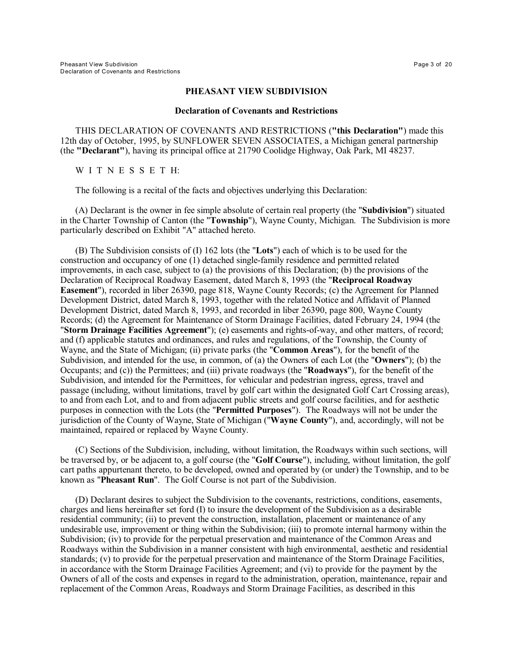#### **PHEASANT VIEW SUBDIVISION**

#### **Declaration of Covenants and Restrictions**

THIS DECLARATION OF COVENANTS AND RESTRICTIONS (**"this Declaration"**) made this 12th day of October, 1995, by SUNFLOWER SEVEN ASSOCIATES, a Michigan general partnership (the **"Declarant"**), having its principal office at 21790 Coolidge Highway, Oak Park, MI 48237.

WITNESSETH:

The following is a recital of the facts and objectives underlying this Declaration:

(A) Declarant is the owner in fee simple absolute of certain real property (the "**Subdivision**") situated in the Charter Township of Canton (the "**Township**"), Wayne County, Michigan. The Subdivision is more particularly described on Exhibit "A" attached hereto.

(B) The Subdivision consists of (I) 162 lots (the "**Lots**") each of which is to be used for the construction and occupancy of one (1) detached single-family residence and permitted related improvements, in each case, subject to (a) the provisions of this Declaration; (b) the provisions of the Declaration of Reciprocal Roadway Easement, dated March 8, 1993 (the "**Reciprocal Roadway Easement**"), recorded in liber 26390, page 818, Wayne County Records; (c) the Agreement for Planned Development District, dated March 8, 1993, together with the related Notice and Affidavit of Planned Development District, dated March 8, 1993, and recorded in liber 26390, page 800, Wayne County Records; (d) the Agreement for Maintenance of Storm Drainage Facilities, dated February 24, 1994 (the "**Storm Drainage Facilities Agreement**"); (e) easements and rights-of-way, and other matters, of record; and (f) applicable statutes and ordinances, and rules and regulations, of the Township, the County of Wayne, and the State of Michigan; (ii) private parks (the "**Common Areas**"), for the benefit of the Subdivision, and intended for the use, in common, of (a) the Owners of each Lot (the "**Owners**"); (b) the Occupants; and (c)) the Permittees; and (iii) private roadways (the "**Roadways**"), for the benefit of the Subdivision, and intended for the Permittees, for vehicular and pedestrian ingress, egress, travel and passage (including, without limitations, travel by golf cart within the designated Golf Cart Crossing areas), to and from each Lot, and to and from adjacent public streets and golf course facilities, and for aesthetic purposes in connection with the Lots (the "**Permitted Purposes**"). The Roadways will not be under the jurisdiction of the County of Wayne, State of Michigan ("**Wayne County**"), and, accordingly, will not be maintained, repaired or replaced by Wayne County.

(C) Sections of the Subdivision, including, without limitation, the Roadways within such sections, will be traversed by, or be adjacent to, a golf course (the "**Golf Course**"), including, without limitation, the golf cart paths appurtenant thereto, to be developed, owned and operated by (or under) the Township, and to be known as "**Pheasant Run**". The Golf Course is not part of the Subdivision.

(D) Declarant desires to subject the Subdivision to the covenants, restrictions, conditions, easements, charges and liens hereinafter set ford (I) to insure the development of the Subdivision as a desirable residential community; (ii) to prevent the construction, installation, placement or maintenance of any undesirable use, improvement or thing within the Subdivision; (iii) to promote internal harmony within the Subdivision; (iv) to provide for the perpetual preservation and maintenance of the Common Areas and Roadways within the Subdivision in a manner consistent with high environmental, aesthetic and residential standards; (v) to provide for the perpetual preservation and maintenance of the Storm Drainage Facilities, in accordance with the Storm Drainage Facilities Agreement; and (vi) to provide for the payment by the Owners of all of the costs and expenses in regard to the administration, operation, maintenance, repair and replacement of the Common Areas, Roadways and Storm Drainage Facilities, as described in this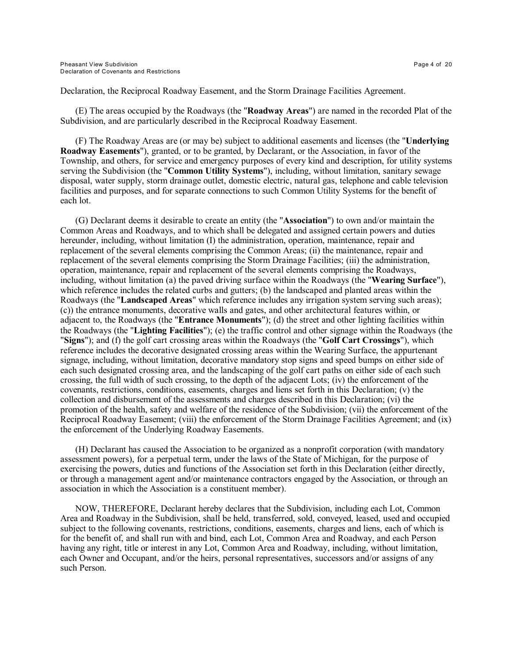Declaration, the Reciprocal Roadway Easement, and the Storm Drainage Facilities Agreement.

(E) The areas occupied by the Roadways (the "**Roadway Areas**") are named in the recorded Plat of the Subdivision, and are particularly described in the Reciprocal Roadway Easement.

(F) The Roadway Areas are (or may be) subject to additional easements and licenses (the "**Underlying Roadway Easements**"), granted, or to be granted, by Declarant, or the Association, in favor of the Township, and others, for service and emergency purposes of every kind and description, for utility systems serving the Subdivision (the "**Common Utility Systems**"), including, without limitation, sanitary sewage disposal, water supply, storm drainage outlet, domestic electric, natural gas, telephone and cable television facilities and purposes, and for separate connections to such Common Utility Systems for the benefit of each lot.

(G) Declarant deems it desirable to create an entity (the "**Association**") to own and/or maintain the Common Areas and Roadways, and to which shall be delegated and assigned certain powers and duties hereunder, including, without limitation (I) the administration, operation, maintenance, repair and replacement of the several elements comprising the Common Areas; (ii) the maintenance, repair and replacement of the several elements comprising the Storm Drainage Facilities; (iii) the administration, operation, maintenance, repair and replacement of the several elements comprising the Roadways, including, without limitation (a) the paved driving surface within the Roadways (the "**Wearing Surface**"), which reference includes the related curbs and gutters; (b) the landscaped and planted areas within the Roadways (the "**Landscaped Areas**" which reference includes any irrigation system serving such areas); (c)) the entrance monuments, decorative walls and gates, and other architectural features within, or adjacent to, the Roadways (the "**Entrance Monuments**"); (d) the street and other lighting facilities within the Roadways (the "**Lighting Facilities**"); (e) the traffic control and other signage within the Roadways (the "**Signs**"); and (f) the golf cart crossing areas within the Roadways (the "**Golf Cart Crossings**"), which reference includes the decorative designated crossing areas within the Wearing Surface, the appurtenant signage, including, without limitation, decorative mandatory stop signs and speed bumps on either side of each such designated crossing area, and the landscaping of the golf cart paths on either side of each such crossing, the full width of such crossing, to the depth of the adjacent Lots; (iv) the enforcement of the covenants, restrictions, conditions, easements, charges and liens set forth in this Declaration; (v) the collection and disbursement of the assessments and charges described in this Declaration; (vi) the promotion of the health, safety and welfare of the residence of the Subdivision; (vii) the enforcement of the Reciprocal Roadway Easement; (viii) the enforcement of the Storm Drainage Facilities Agreement; and (ix) the enforcement of the Underlying Roadway Easements.

(H) Declarant has caused the Association to be organized as a nonprofit corporation (with mandatory assessment powers), for a perpetual term, under the laws of the State of Michigan, for the purpose of exercising the powers, duties and functions of the Association set forth in this Declaration (either directly, or through a management agent and/or maintenance contractors engaged by the Association, or through an association in which the Association is a constituent member).

NOW, THEREFORE, Declarant hereby declares that the Subdivision, including each Lot, Common Area and Roadway in the Subdivision, shall be held, transferred, sold, conveyed, leased, used and occupied subject to the following covenants, restrictions, conditions, easements, charges and liens, each of which is for the benefit of, and shall run with and bind, each Lot, Common Area and Roadway, and each Person having any right, title or interest in any Lot, Common Area and Roadway, including, without limitation, each Owner and Occupant, and/or the heirs, personal representatives, successors and/or assigns of any such Person.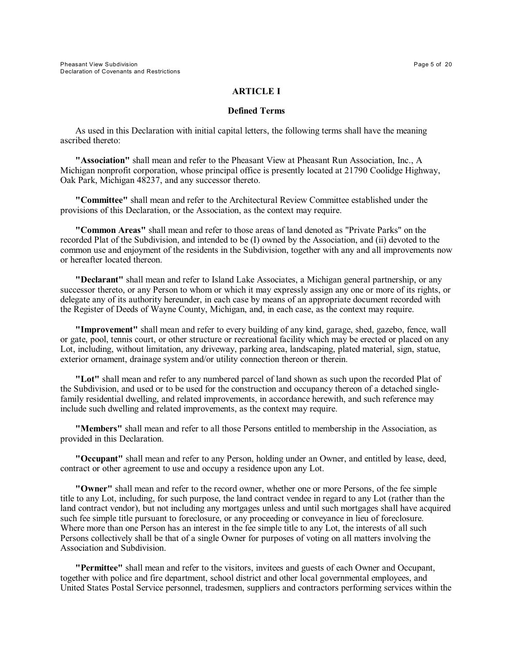## **ARTICLE I**

### **Defined Terms**

As used in this Declaration with initial capital letters, the following terms shall have the meaning ascribed thereto:

**"Association"** shall mean and refer to the Pheasant View at Pheasant Run Association, Inc., A Michigan nonprofit corporation, whose principal office is presently located at 21790 Coolidge Highway, Oak Park, Michigan 48237, and any successor thereto.

**"Committee"** shall mean and refer to the Architectural Review Committee established under the provisions of this Declaration, or the Association, as the context may require.

**"Common Areas"** shall mean and refer to those areas of land denoted as "Private Parks" on the recorded Plat of the Subdivision, and intended to be (I) owned by the Association, and (ii) devoted to the common use and enjoyment of the residents in the Subdivision, together with any and all improvements now or hereafter located thereon.

**"Declarant"** shall mean and refer to Island Lake Associates, a Michigan general partnership, or any successor thereto, or any Person to whom or which it may expressly assign any one or more of its rights, or delegate any of its authority hereunder, in each case by means of an appropriate document recorded with the Register of Deeds of Wayne County, Michigan, and, in each case, as the context may require.

**"Improvement"** shall mean and refer to every building of any kind, garage, shed, gazebo, fence, wall or gate, pool, tennis court, or other structure or recreational facility which may be erected or placed on any Lot, including, without limitation, any driveway, parking area, landscaping, plated material, sign, statue, exterior ornament, drainage system and/or utility connection thereon or therein.

**"Lot"** shall mean and refer to any numbered parcel of land shown as such upon the recorded Plat of the Subdivision, and used or to be used for the construction and occupancy thereon of a detached singlefamily residential dwelling, and related improvements, in accordance herewith, and such reference may include such dwelling and related improvements, as the context may require.

**"Members"** shall mean and refer to all those Persons entitled to membership in the Association, as provided in this Declaration.

**"Occupant"** shall mean and refer to any Person, holding under an Owner, and entitled by lease, deed, contract or other agreement to use and occupy a residence upon any Lot.

**"Owner"** shall mean and refer to the record owner, whether one or more Persons, of the fee simple title to any Lot, including, for such purpose, the land contract vendee in regard to any Lot (rather than the land contract vendor), but not including any mortgages unless and until such mortgages shall have acquired such fee simple title pursuant to foreclosure, or any proceeding or conveyance in lieu of foreclosure. Where more than one Person has an interest in the fee simple title to any Lot, the interests of all such Persons collectively shall be that of a single Owner for purposes of voting on all matters involving the Association and Subdivision.

**"Permittee"** shall mean and refer to the visitors, invitees and guests of each Owner and Occupant, together with police and fire department, school district and other local governmental employees, and United States Postal Service personnel, tradesmen, suppliers and contractors performing services within the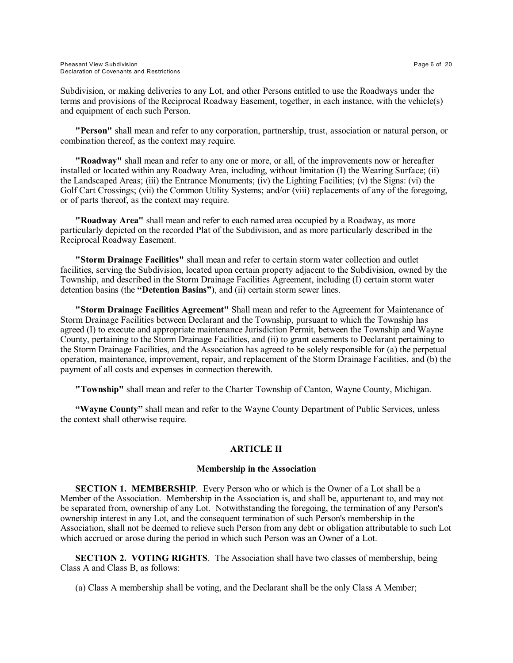Subdivision, or making deliveries to any Lot, and other Persons entitled to use the Roadways under the terms and provisions of the Reciprocal Roadway Easement, together, in each instance, with the vehicle(s) and equipment of each such Person.

**"Person"** shall mean and refer to any corporation, partnership, trust, association or natural person, or combination thereof, as the context may require.

**"Roadway"** shall mean and refer to any one or more, or all, of the improvements now or hereafter installed or located within any Roadway Area, including, without limitation (I) the Wearing Surface; (ii) the Landscaped Areas; (iii) the Entrance Monuments; (iv) the Lighting Facilities; (v) the Signs: (vi) the Golf Cart Crossings; (vii) the Common Utility Systems; and/or (viii) replacements of any of the foregoing, or of parts thereof, as the context may require.

**"Roadway Area"** shall mean and refer to each named area occupied by a Roadway, as more particularly depicted on the recorded Plat of the Subdivision, and as more particularly described in the Reciprocal Roadway Easement.

**"Storm Drainage Facilities"** shall mean and refer to certain storm water collection and outlet facilities, serving the Subdivision, located upon certain property adjacent to the Subdivision, owned by the Township, and described in the Storm Drainage Facilities Agreement, including (I) certain storm water detention basins (the **"Detention Basins"**), and (ii) certain storm sewer lines.

**"Storm Drainage Facilities Agreement"** Shall mean and refer to the Agreement for Maintenance of Storm Drainage Facilities between Declarant and the Township, pursuant to which the Township has agreed (I) to execute and appropriate maintenance Jurisdiction Permit, between the Township and Wayne County, pertaining to the Storm Drainage Facilities, and (ii) to grant easements to Declarant pertaining to the Storm Drainage Facilities, and the Association has agreed to be solely responsible for (a) the perpetual operation, maintenance, improvement, repair, and replacement of the Storm Drainage Facilities, and (b) the payment of all costs and expenses in connection therewith.

**"Township"** shall mean and refer to the Charter Township of Canton, Wayne County, Michigan.

**"Wayne County"** shall mean and refer to the Wayne County Department of Public Services, unless the context shall otherwise require.

# **ARTICLE II**

### **Membership in the Association**

**SECTION 1. MEMBERSHIP**. Every Person who or which is the Owner of a Lot shall be a Member of the Association. Membership in the Association is, and shall be, appurtenant to, and may not be separated from, ownership of any Lot. Notwithstanding the foregoing, the termination of any Person's ownership interest in any Lot, and the consequent termination of such Person's membership in the Association, shall not be deemed to relieve such Person from any debt or obligation attributable to such Lot which accrued or arose during the period in which such Person was an Owner of a Lot.

**SECTION 2. VOTING RIGHTS.** The Association shall have two classes of membership, being Class A and Class B, as follows:

(a) Class A membership shall be voting, and the Declarant shall be the only Class A Member;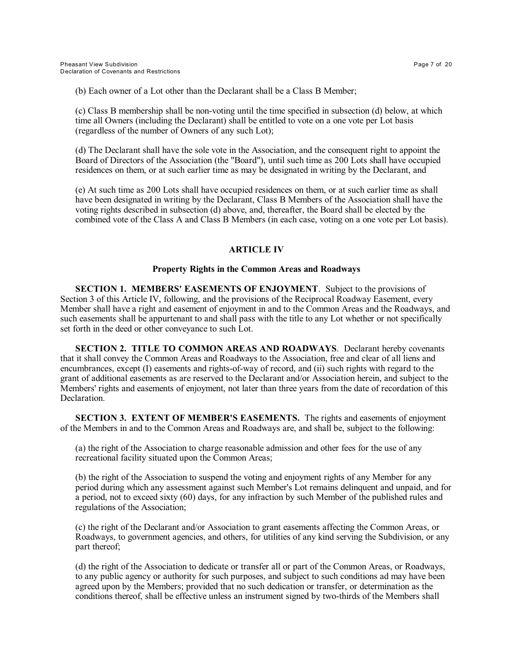(b) Each owner of a Lot other than the Declarant shall be a Class B Member;

(c) Class B membership shall be non-voting until the time specified in subsection (d) below, at which time all Owners (including the Declarant) shall be entitled to vote on a one vote per Lot basis (regardless of the number of Owners of any such Lot);

(d) The Declarant shall have the sole vote in the Association, and the consequent right to appoint the Board of Directors of the Association (the "Board"), until such time as 200 Lots shall have occupied residences on them, or at such earlier time as may be designated in writing by the Declarant, and

(e) At such time as 200 Lots shall have occupied residences on them, or at such earlier time as shall have been designated in writing by the Declarant, Class B Members of the Association shall have the voting rights described in subsection (d) above, and, thereafter, the Board shall be elected by the combined vote of the Class A and Class B Members (in each case, voting on a one vote per Lot basis).

# **ARTICLE IV**

# **Property Rights in the Common Areas and Roadways**

**SECTION 1. MEMBERS' EASEMENTS OF ENJOYMENT**. Subject to the provisions of Section 3 of this Article IV, following, and the provisions of the Reciprocal Roadway Easement, every Member shall have a right and easement of enjoyment in and to the Common Areas and the Roadways, and such easements shall be appurtenant to and shall pass with the title to any Lot whether or not specifically set forth in the deed or other conveyance to such Lot.

**SECTION 2. TITLE TO COMMON AREAS AND ROADWAYS**. Declarant hereby covenants that it shall convey the Common Areas and Roadways to the Association, free and clear of all liens and encumbrances, except (I) easements and rights-of-way of record, and (ii) such rights with regard to the grant of additional easements as are reserved to the Declarant and/or Association herein, and subject to the Members' rights and easements of enjoyment, not later than three years from the date of recordation of this Declaration.

**SECTION 3. EXTENT OF MEMBER'S EASEMENTS.** The rights and easements of enjoyment of the Members in and to the Common Areas and Roadways are, and shall be, subject to the following:

(a) the right of the Association to charge reasonable admission and other fees for the use of any recreational facility situated upon the Common Areas;

(b) the right of the Association to suspend the voting and enjoyment rights of any Member for any period during which any assessment against such Member's Lot remains delinquent and unpaid, and for a period, not to exceed sixty (60) days, for any infraction by such Member of the published rules and regulations of the Association;

(c) the right of the Declarant and/or Association to grant easements affecting the Common Areas, or Roadways, to government agencies, and others, for utilities of any kind serving the Subdivision, or any part thereof;

(d) the right of the Association to dedicate or transfer all or part of the Common Areas, or Roadways, to any public agency or authority for such purposes, and subject to such conditions ad may have been agreed upon by the Members; provided that no such dedication or transfer, or determination as the conditions thereof, shall be effective unless an instrument signed by two-thirds of the Members shall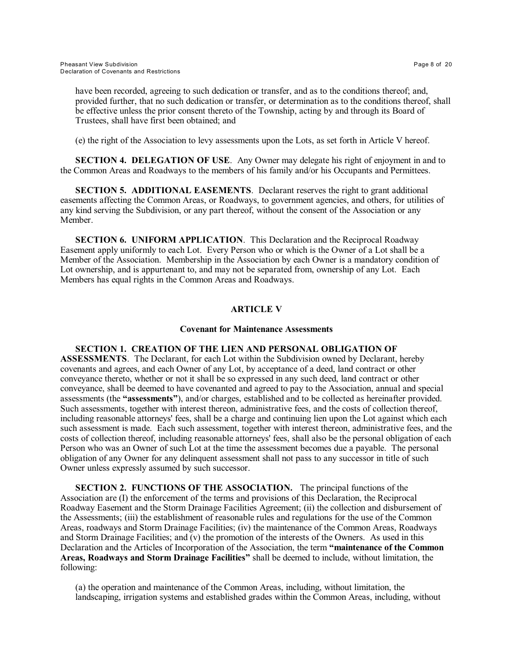have been recorded, agreeing to such dedication or transfer, and as to the conditions thereof; and, provided further, that no such dedication or transfer, or determination as to the conditions thereof, shall be effective unless the prior consent thereto of the Township, acting by and through its Board of Trustees, shall have first been obtained; and

(e) the right of the Association to levy assessments upon the Lots, as set forth in Article V hereof.

**SECTION 4. DELEGATION OF USE**. Any Owner may delegate his right of enjoyment in and to the Common Areas and Roadways to the members of his family and/or his Occupants and Permittees.

**SECTION 5. ADDITIONAL EASEMENTS**. Declarant reserves the right to grant additional easements affecting the Common Areas, or Roadways, to government agencies, and others, for utilities of any kind serving the Subdivision, or any part thereof, without the consent of the Association or any Member.

**SECTION 6. UNIFORM APPLICATION**. This Declaration and the Reciprocal Roadway Easement apply uniformly to each Lot. Every Person who or which is the Owner of a Lot shall be a Member of the Association. Membership in the Association by each Owner is a mandatory condition of Lot ownership, and is appurtenant to, and may not be separated from, ownership of any Lot. Each Members has equal rights in the Common Areas and Roadways.

# **ARTICLE V**

## **Covenant for Maintenance Assessments**

# **SECTION 1. CREATION OF THE LIEN AND PERSONAL OBLIGATION OF**

**ASSESSMENTS**. The Declarant, for each Lot within the Subdivision owned by Declarant, hereby covenants and agrees, and each Owner of any Lot, by acceptance of a deed, land contract or other conveyance thereto, whether or not it shall be so expressed in any such deed, land contract or other conveyance, shall be deemed to have covenanted and agreed to pay to the Association, annual and special assessments (the **"assessments"**), and/or charges, established and to be collected as hereinafter provided. Such assessments, together with interest thereon, administrative fees, and the costs of collection thereof, including reasonable attorneys' fees, shall be a charge and continuing lien upon the Lot against which each such assessment is made. Each such assessment, together with interest thereon, administrative fees, and the costs of collection thereof, including reasonable attorneys' fees, shall also be the personal obligation of each Person who was an Owner of such Lot at the time the assessment becomes due a payable. The personal obligation of any Owner for any delinquent assessment shall not pass to any successor in title of such Owner unless expressly assumed by such successor.

**SECTION 2. FUNCTIONS OF THE ASSOCIATION.** The principal functions of the Association are (I) the enforcement of the terms and provisions of this Declaration, the Reciprocal Roadway Easement and the Storm Drainage Facilities Agreement; (ii) the collection and disbursement of the Assessments; (iii) the establishment of reasonable rules and regulations for the use of the Common Areas, roadways and Storm Drainage Facilities; (iv) the maintenance of the Common Areas, Roadways and Storm Drainage Facilities; and (v) the promotion of the interests of the Owners. As used in this Declaration and the Articles of Incorporation of the Association, the term **"maintenance of the Common Areas, Roadways and Storm Drainage Facilities"** shall be deemed to include, without limitation, the following:

(a) the operation and maintenance of the Common Areas, including, without limitation, the landscaping, irrigation systems and established grades within the Common Areas, including, without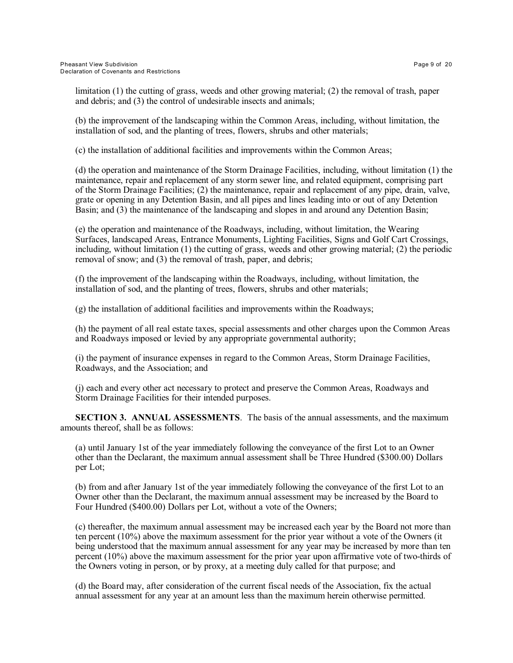limitation (1) the cutting of grass, weeds and other growing material; (2) the removal of trash, paper and debris; and (3) the control of undesirable insects and animals;

(b) the improvement of the landscaping within the Common Areas, including, without limitation, the installation of sod, and the planting of trees, flowers, shrubs and other materials;

(c) the installation of additional facilities and improvements within the Common Areas;

(d) the operation and maintenance of the Storm Drainage Facilities, including, without limitation (1) the maintenance, repair and replacement of any storm sewer line, and related equipment, comprising part of the Storm Drainage Facilities; (2) the maintenance, repair and replacement of any pipe, drain, valve, grate or opening in any Detention Basin, and all pipes and lines leading into or out of any Detention Basin; and (3) the maintenance of the landscaping and slopes in and around any Detention Basin;

(e) the operation and maintenance of the Roadways, including, without limitation, the Wearing Surfaces, landscaped Areas, Entrance Monuments, Lighting Facilities, Signs and Golf Cart Crossings, including, without limitation (1) the cutting of grass, weeds and other growing material; (2) the periodic removal of snow; and (3) the removal of trash, paper, and debris;

(f) the improvement of the landscaping within the Roadways, including, without limitation, the installation of sod, and the planting of trees, flowers, shrubs and other materials;

(g) the installation of additional facilities and improvements within the Roadways;

(h) the payment of all real estate taxes, special assessments and other charges upon the Common Areas and Roadways imposed or levied by any appropriate governmental authority;

(i) the payment of insurance expenses in regard to the Common Areas, Storm Drainage Facilities, Roadways, and the Association; and

(j) each and every other act necessary to protect and preserve the Common Areas, Roadways and Storm Drainage Facilities for their intended purposes.

**SECTION 3. ANNUAL ASSESSMENTS**. The basis of the annual assessments, and the maximum amounts thereof, shall be as follows:

(a) until January 1st of the year immediately following the conveyance of the first Lot to an Owner other than the Declarant, the maximum annual assessment shall be Three Hundred (\$300.00) Dollars per Lot;

(b) from and after January 1st of the year immediately following the conveyance of the first Lot to an Owner other than the Declarant, the maximum annual assessment may be increased by the Board to Four Hundred (\$400.00) Dollars per Lot, without a vote of the Owners;

(c) thereafter, the maximum annual assessment may be increased each year by the Board not more than ten percent (10%) above the maximum assessment for the prior year without a vote of the Owners (it being understood that the maximum annual assessment for any year may be increased by more than ten percent (10%) above the maximum assessment for the prior year upon affirmative vote of two-thirds of the Owners voting in person, or by proxy, at a meeting duly called for that purpose; and

(d) the Board may, after consideration of the current fiscal needs of the Association, fix the actual annual assessment for any year at an amount less than the maximum herein otherwise permitted.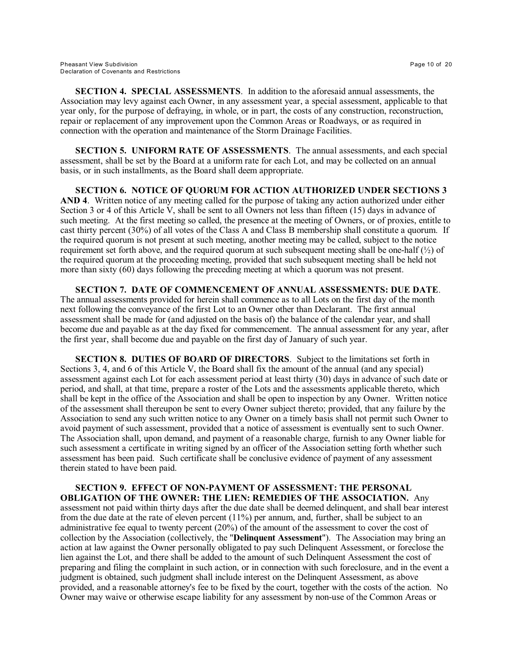**SECTION 4. SPECIAL ASSESSMENTS**. In addition to the aforesaid annual assessments, the Association may levy against each Owner, in any assessment year, a special assessment, applicable to that year only, for the purpose of defraying, in whole, or in part, the costs of any construction, reconstruction, repair or replacement of any improvement upon the Common Areas or Roadways, or as required in connection with the operation and maintenance of the Storm Drainage Facilities.

**SECTION 5. UNIFORM RATE OF ASSESSMENTS**. The annual assessments, and each special assessment, shall be set by the Board at a uniform rate for each Lot, and may be collected on an annual basis, or in such installments, as the Board shall deem appropriate.

**SECTION 6. NOTICE OF QUORUM FOR ACTION AUTHORIZED UNDER SECTIONS 3 AND 4**. Written notice of any meeting called for the purpose of taking any action authorized under either Section 3 or 4 of this Article V, shall be sent to all Owners not less than fifteen (15) days in advance of such meeting. At the first meeting so called, the presence at the meeting of Owners, or of proxies, entitle to cast thirty percent (30%) of all votes of the Class A and Class B membership shall constitute a quorum. If the required quorum is not present at such meeting, another meeting may be called, subject to the notice requirement set forth above, and the required quorum at such subsequent meeting shall be one-half (½) of the required quorum at the proceeding meeting, provided that such subsequent meeting shall be held not more than sixty (60) days following the preceding meeting at which a quorum was not present.

**SECTION 7. DATE OF COMMENCEMENT OF ANNUAL ASSESSMENTS: DUE DATE**. The annual assessments provided for herein shall commence as to all Lots on the first day of the month next following the conveyance of the first Lot to an Owner other than Declarant. The first annual assessment shall be made for (and adjusted on the basis of) the balance of the calendar year, and shall become due and payable as at the day fixed for commencement. The annual assessment for any year, after the first year, shall become due and payable on the first day of January of such year.

**SECTION 8. DUTIES OF BOARD OF DIRECTORS**. Subject to the limitations set forth in Sections 3, 4, and 6 of this Article V, the Board shall fix the amount of the annual (and any special) assessment against each Lot for each assessment period at least thirty (30) days in advance of such date or period, and shall, at that time, prepare a roster of the Lots and the assessments applicable thereto, which shall be kept in the office of the Association and shall be open to inspection by any Owner. Written notice of the assessment shall thereupon be sent to every Owner subject thereto; provided, that any failure by the Association to send any such written notice to any Owner on a timely basis shall not permit such Owner to avoid payment of such assessment, provided that a notice of assessment is eventually sent to such Owner. The Association shall, upon demand, and payment of a reasonable charge, furnish to any Owner liable for such assessment a certificate in writing signed by an officer of the Association setting forth whether such assessment has been paid. Such certificate shall be conclusive evidence of payment of any assessment therein stated to have been paid.

**SECTION 9. EFFECT OF NON-PAYMENT OF ASSESSMENT: THE PERSONAL OBLIGATION OF THE OWNER: THE LIEN: REMEDIES OF THE ASSOCIATION.** Any assessment not paid within thirty days after the due date shall be deemed delinquent, and shall bear interest from the due date at the rate of eleven percent (11%) per annum, and, further, shall be subject to an administrative fee equal to twenty percent (20%) of the amount of the assessment to cover the cost of collection by the Association (collectively, the "**Delinquent Assessment**"). The Association may bring an action at law against the Owner personally obligated to pay such Delinquent Assessment, or foreclose the lien against the Lot, and there shall be added to the amount of such Delinquent Assessment the cost of preparing and filing the complaint in such action, or in connection with such foreclosure, and in the event a judgment is obtained, such judgment shall include interest on the Delinquent Assessment, as above provided, and a reasonable attorney's fee to be fixed by the court, together with the costs of the action. No Owner may waive or otherwise escape liability for any assessment by non-use of the Common Areas or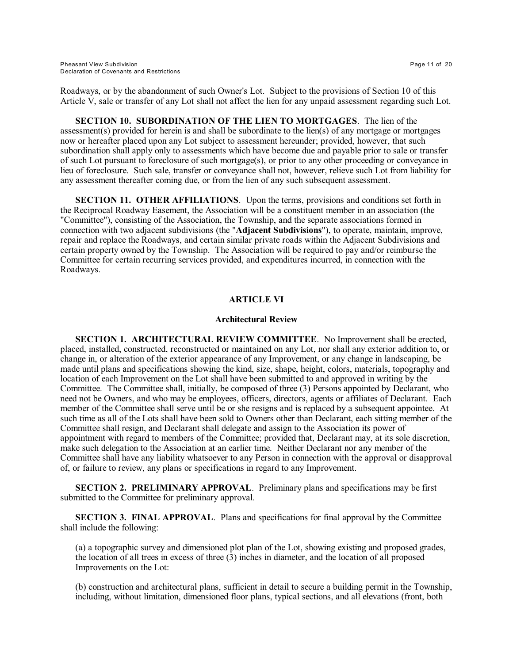Roadways, or by the abandonment of such Owner's Lot. Subject to the provisions of Section 10 of this Article V, sale or transfer of any Lot shall not affect the lien for any unpaid assessment regarding such Lot.

**SECTION 10. SUBORDINATION OF THE LIEN TO MORTGAGES**. The lien of the assessment(s) provided for herein is and shall be subordinate to the lien(s) of any mortgage or mortgages now or hereafter placed upon any Lot subject to assessment hereunder; provided, however, that such subordination shall apply only to assessments which have become due and payable prior to sale or transfer of such Lot pursuant to foreclosure of such mortgage(s), or prior to any other proceeding or conveyance in lieu of foreclosure. Such sale, transfer or conveyance shall not, however, relieve such Lot from liability for any assessment thereafter coming due, or from the lien of any such subsequent assessment.

**SECTION 11. OTHER AFFILIATIONS**. Upon the terms, provisions and conditions set forth in the Reciprocal Roadway Easement, the Association will be a constituent member in an association (the "Committee"), consisting of the Association, the Township, and the separate associations formed in connection with two adjacent subdivisions (the "**Adjacent Subdivisions**"), to operate, maintain, improve, repair and replace the Roadways, and certain similar private roads within the Adjacent Subdivisions and certain property owned by the Township. The Association will be required to pay and/or reimburse the Committee for certain recurring services provided, and expenditures incurred, in connection with the Roadways.

# **ARTICLE VI**

### **Architectural Review**

**SECTION 1. ARCHITECTURAL REVIEW COMMITTEE**. No Improvement shall be erected, placed, installed, constructed, reconstructed or maintained on any Lot, nor shall any exterior addition to, or change in, or alteration of the exterior appearance of any Improvement, or any change in landscaping, be made until plans and specifications showing the kind, size, shape, height, colors, materials, topography and location of each Improvement on the Lot shall have been submitted to and approved in writing by the Committee. The Committee shall, initially, be composed of three (3) Persons appointed by Declarant, who need not be Owners, and who may be employees, officers, directors, agents or affiliates of Declarant. Each member of the Committee shall serve until be or she resigns and is replaced by a subsequent appointee. At such time as all of the Lots shall have been sold to Owners other than Declarant, each sitting member of the Committee shall resign, and Declarant shall delegate and assign to the Association its power of appointment with regard to members of the Committee; provided that, Declarant may, at its sole discretion, make such delegation to the Association at an earlier time. Neither Declarant nor any member of the Committee shall have any liability whatsoever to any Person in connection with the approval or disapproval of, or failure to review, any plans or specifications in regard to any Improvement.

**SECTION 2. PRELIMINARY APPROVAL**. Preliminary plans and specifications may be first submitted to the Committee for preliminary approval.

**SECTION 3. FINAL APPROVAL**. Plans and specifications for final approval by the Committee shall include the following:

(a) a topographic survey and dimensioned plot plan of the Lot, showing existing and proposed grades, the location of all trees in excess of three (3) inches in diameter, and the location of all proposed Improvements on the Lot:

(b) construction and architectural plans, sufficient in detail to secure a building permit in the Township, including, without limitation, dimensioned floor plans, typical sections, and all elevations (front, both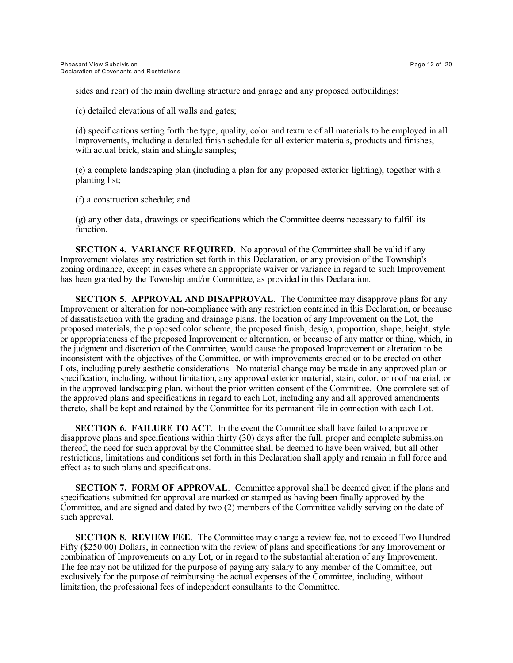sides and rear) of the main dwelling structure and garage and any proposed outbuildings;

(c) detailed elevations of all walls and gates;

(d) specifications setting forth the type, quality, color and texture of all materials to be employed in all Improvements, including a detailed finish schedule for all exterior materials, products and finishes, with actual brick, stain and shingle samples;

(e) a complete landscaping plan (including a plan for any proposed exterior lighting), together with a planting list;

(f) a construction schedule; and

(g) any other data, drawings or specifications which the Committee deems necessary to fulfill its function.

**SECTION 4. VARIANCE REQUIRED.** No approval of the Committee shall be valid if any Improvement violates any restriction set forth in this Declaration, or any provision of the Township's zoning ordinance, except in cases where an appropriate waiver or variance in regard to such Improvement has been granted by the Township and/or Committee, as provided in this Declaration.

**SECTION 5. APPROVAL AND DISAPPROVAL.** The Committee may disapprove plans for any Improvement or alteration for non-compliance with any restriction contained in this Declaration, or because of dissatisfaction with the grading and drainage plans, the location of any Improvement on the Lot, the proposed materials, the proposed color scheme, the proposed finish, design, proportion, shape, height, style or appropriateness of the proposed Improvement or alternation, or because of any matter or thing, which, in the judgment and discretion of the Committee, would cause the proposed Improvement or alteration to be inconsistent with the objectives of the Committee, or with improvements erected or to be erected on other Lots, including purely aesthetic considerations. No material change may be made in any approved plan or specification, including, without limitation, any approved exterior material, stain, color, or roof material, or in the approved landscaping plan, without the prior written consent of the Committee. One complete set of the approved plans and specifications in regard to each Lot, including any and all approved amendments thereto, shall be kept and retained by the Committee for its permanent file in connection with each Lot.

**SECTION 6. FAILURE TO ACT.** In the event the Committee shall have failed to approve or disapprove plans and specifications within thirty (30) days after the full, proper and complete submission thereof, the need for such approval by the Committee shall be deemed to have been waived, but all other restrictions, limitations and conditions set forth in this Declaration shall apply and remain in full force and effect as to such plans and specifications.

**SECTION 7. FORM OF APPROVAL.** Committee approval shall be deemed given if the plans and specifications submitted for approval are marked or stamped as having been finally approved by the Committee, and are signed and dated by two (2) members of the Committee validly serving on the date of such approval.

**SECTION 8. REVIEW FEE.** The Committee may charge a review fee, not to exceed Two Hundred Fifty (\$250.00) Dollars, in connection with the review of plans and specifications for any Improvement or combination of Improvements on any Lot, or in regard to the substantial alteration of any Improvement. The fee may not be utilized for the purpose of paying any salary to any member of the Committee, but exclusively for the purpose of reimbursing the actual expenses of the Committee, including, without limitation, the professional fees of independent consultants to the Committee.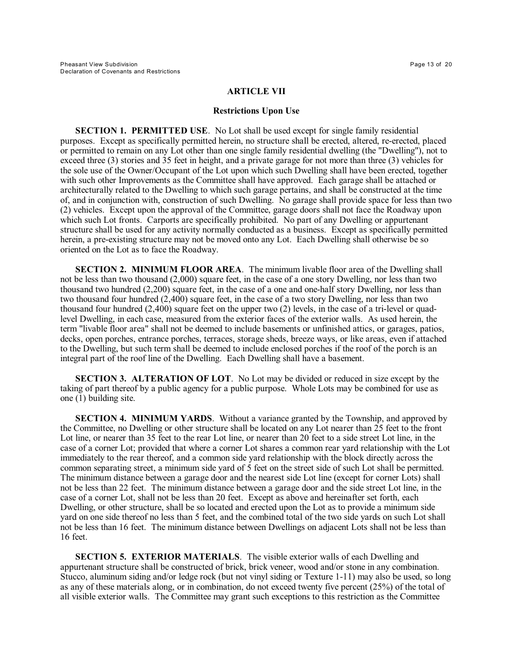## **ARTICLE VII**

### **Restrictions Upon Use**

**SECTION 1. PERMITTED USE**. No Lot shall be used except for single family residential purposes. Except as specifically permitted herein, no structure shall be erected, altered, re-erected, placed or permitted to remain on any Lot other than one single family residential dwelling (the "Dwelling"), not to exceed three (3) stories and 35 feet in height, and a private garage for not more than three (3) vehicles for the sole use of the Owner/Occupant of the Lot upon which such Dwelling shall have been erected, together with such other Improvements as the Committee shall have approved. Each garage shall be attached or architecturally related to the Dwelling to which such garage pertains, and shall be constructed at the time of, and in conjunction with, construction of such Dwelling. No garage shall provide space for less than two (2) vehicles. Except upon the approval of the Committee, garage doors shall not face the Roadway upon which such Lot fronts. Carports are specifically prohibited. No part of any Dwelling or appurtenant structure shall be used for any activity normally conducted as a business. Except as specifically permitted herein, a pre-existing structure may not be moved onto any Lot. Each Dwelling shall otherwise be so oriented on the Lot as to face the Roadway.

**SECTION 2. MINIMUM FLOOR AREA**. The minimum livable floor area of the Dwelling shall not be less than two thousand (2,000) square feet, in the case of a one story Dwelling, nor less than two thousand two hundred (2,200) square feet, in the case of a one and one-half story Dwelling, nor less than two thousand four hundred (2,400) square feet, in the case of a two story Dwelling, nor less than two thousand four hundred (2,400) square feet on the upper two (2) levels, in the case of a tri-level or quadlevel Dwelling, in each case, measured from the exterior faces of the exterior walls. As used herein, the term "livable floor area" shall not be deemed to include basements or unfinished attics, or garages, patios, decks, open porches, entrance porches, terraces, storage sheds, breeze ways, or like areas, even if attached to the Dwelling, but such term shall be deemed to include enclosed porches if the roof of the porch is an integral part of the roof line of the Dwelling. Each Dwelling shall have a basement.

**SECTION 3. ALTERATION OF LOT**. No Lot may be divided or reduced in size except by the taking of part thereof by a public agency for a public purpose. Whole Lots may be combined for use as one (1) building site.

**SECTION 4. MINIMUM YARDS**. Without a variance granted by the Township, and approved by the Committee, no Dwelling or other structure shall be located on any Lot nearer than 25 feet to the front Lot line, or nearer than 35 feet to the rear Lot line, or nearer than 20 feet to a side street Lot line, in the case of a corner Lot; provided that where a corner Lot shares a common rear yard relationship with the Lot immediately to the rear thereof, and a common side yard relationship with the block directly across the common separating street, a minimum side yard of 5 feet on the street side of such Lot shall be permitted. The minimum distance between a garage door and the nearest side Lot line (except for corner Lots) shall not be less than 22 feet. The minimum distance between a garage door and the side street Lot line, in the case of a corner Lot, shall not be less than 20 feet. Except as above and hereinafter set forth, each Dwelling, or other structure, shall be so located and erected upon the Lot as to provide a minimum side yard on one side thereof no less than 5 feet, and the combined total of the two side yards on such Lot shall not be less than 16 feet. The minimum distance between Dwellings on adjacent Lots shall not be less than 16 feet.

**SECTION 5. EXTERIOR MATERIALS**. The visible exterior walls of each Dwelling and appurtenant structure shall be constructed of brick, brick veneer, wood and/or stone in any combination. Stucco, aluminum siding and/or ledge rock (but not vinyl siding or Texture 1-11) may also be used, so long as any of these materials along, or in combination, do not exceed twenty five percent (25%) of the total of all visible exterior walls. The Committee may grant such exceptions to this restriction as the Committee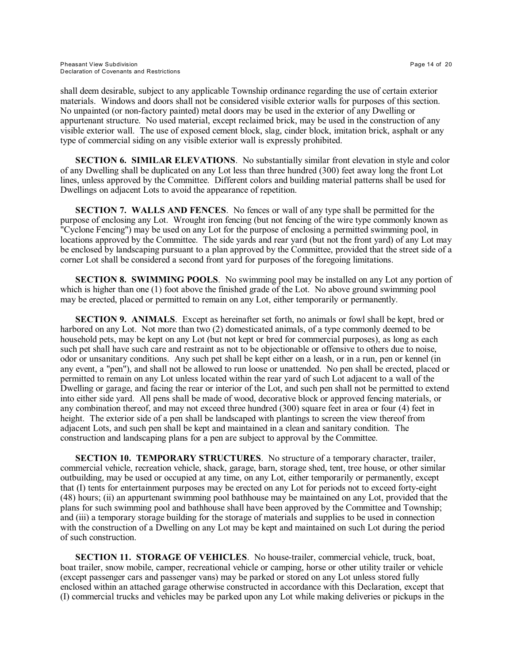shall deem desirable, subject to any applicable Township ordinance regarding the use of certain exterior materials. Windows and doors shall not be considered visible exterior walls for purposes of this section. No unpainted (or non-factory painted) metal doors may be used in the exterior of any Dwelling or appurtenant structure. No used material, except reclaimed brick, may be used in the construction of any visible exterior wall. The use of exposed cement block, slag, cinder block, imitation brick, asphalt or any type of commercial siding on any visible exterior wall is expressly prohibited.

**SECTION 6. SIMILAR ELEVATIONS**. No substantially similar front elevation in style and color of any Dwelling shall be duplicated on any Lot less than three hundred (300) feet away long the front Lot lines, unless approved by the Committee. Different colors and building material patterns shall be used for Dwellings on adjacent Lots to avoid the appearance of repetition.

**SECTION 7. WALLS AND FENCES**. No fences or wall of any type shall be permitted for the purpose of enclosing any Lot. Wrought iron fencing (but not fencing of the wire type commonly known as "Cyclone Fencing") may be used on any Lot for the purpose of enclosing a permitted swimming pool, in locations approved by the Committee. The side yards and rear yard (but not the front yard) of any Lot may be enclosed by landscaping pursuant to a plan approved by the Committee, provided that the street side of a corner Lot shall be considered a second front yard for purposes of the foregoing limitations.

**SECTION 8. SWIMMING POOLS**. No swimming pool may be installed on any Lot any portion of which is higher than one (1) foot above the finished grade of the Lot. No above ground swimming pool may be erected, placed or permitted to remain on any Lot, either temporarily or permanently.

**SECTION 9. ANIMALS**. Except as hereinafter set forth, no animals or fowl shall be kept, bred or harbored on any Lot. Not more than two (2) domesticated animals, of a type commonly deemed to be household pets, may be kept on any Lot (but not kept or bred for commercial purposes), as long as each such pet shall have such care and restraint as not to be objectionable or offensive to others due to noise, odor or unsanitary conditions. Any such pet shall be kept either on a leash, or in a run, pen or kennel (in any event, a "pen"), and shall not be allowed to run loose or unattended. No pen shall be erected, placed or permitted to remain on any Lot unless located within the rear yard of such Lot adjacent to a wall of the Dwelling or garage, and facing the rear or interior of the Lot, and such pen shall not be permitted to extend into either side yard. All pens shall be made of wood, decorative block or approved fencing materials, or any combination thereof, and may not exceed three hundred (300) square feet in area or four (4) feet in height. The exterior side of a pen shall be landscaped with plantings to screen the view thereof from adjacent Lots, and such pen shall be kept and maintained in a clean and sanitary condition. The construction and landscaping plans for a pen are subject to approval by the Committee.

**SECTION 10. TEMPORARY STRUCTURES**. No structure of a temporary character, trailer, commercial vehicle, recreation vehicle, shack, garage, barn, storage shed, tent, tree house, or other similar outbuilding, may be used or occupied at any time, on any Lot, either temporarily or permanently, except that (I) tents for entertainment purposes may be erected on any Lot for periods not to exceed forty-eight (48) hours; (ii) an appurtenant swimming pool bathhouse may be maintained on any Lot, provided that the plans for such swimming pool and bathhouse shall have been approved by the Committee and Township; and (iii) a temporary storage building for the storage of materials and supplies to be used in connection with the construction of a Dwelling on any Lot may be kept and maintained on such Lot during the period of such construction.

**SECTION 11. STORAGE OF VEHICLES**. No house-trailer, commercial vehicle, truck, boat, boat trailer, snow mobile, camper, recreational vehicle or camping, horse or other utility trailer or vehicle (except passenger cars and passenger vans) may be parked or stored on any Lot unless stored fully enclosed within an attached garage otherwise constructed in accordance with this Declaration, except that (I) commercial trucks and vehicles may be parked upon any Lot while making deliveries or pickups in the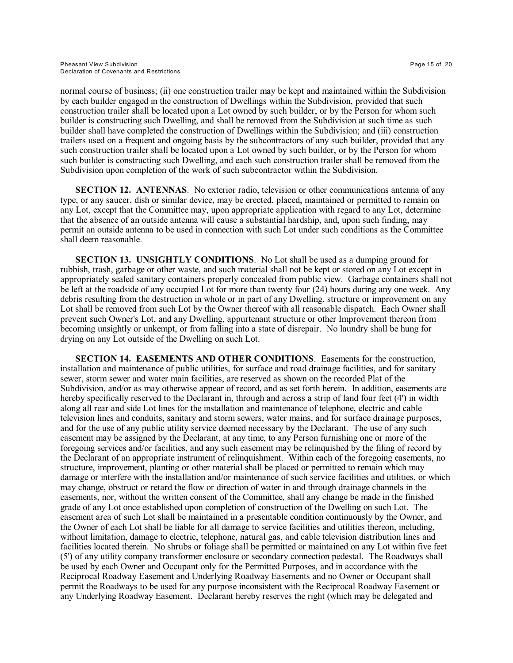normal course of business; (ii) one construction trailer may be kept and maintained within the Subdivision by each builder engaged in the construction of Dwellings within the Subdivision, provided that such construction trailer shall be located upon a Lot owned by such builder, or by the Person for whom such builder is constructing such Dwelling, and shall be removed from the Subdivision at such time as such builder shall have completed the construction of Dwellings within the Subdivision; and (iii) construction trailers used on a frequent and ongoing basis by the subcontractors of any such builder, provided that any such construction trailer shall be located upon a Lot owned by such builder, or by the Person for whom such builder is constructing such Dwelling, and each such construction trailer shall be removed from the Subdivision upon completion of the work of such subcontractor within the Subdivision.

**SECTION 12. ANTENNAS.** No exterior radio, television or other communications antenna of any type, or any saucer, dish or similar device, may be erected, placed, maintained or permitted to remain on any Lot, except that the Committee may, upon appropriate application with regard to any Lot, determine that the absence of an outside antenna will cause a substantial hardship, and, upon such finding, may permit an outside antenna to be used in connection with such Lot under such conditions as the Committee shall deem reasonable.

**SECTION 13. UNSIGHTLY CONDITIONS**. No Lot shall be used as a dumping ground for rubbish, trash, garbage or other waste, and such material shall not be kept or stored on any Lot except in appropriately sealed sanitary containers properly concealed from public view. Garbage containers shall not be left at the roadside of any occupied Lot for more than twenty four (24) hours during any one week. Any debris resulting from the destruction in whole or in part of any Dwelling, structure or improvement on any Lot shall be removed from such Lot by the Owner thereof with all reasonable dispatch. Each Owner shall prevent such Owner's Lot, and any Dwelling, appurtenant structure or other Improvement thereon from becoming unsightly or unkempt, or from falling into a state of disrepair. No laundry shall be hung for drying on any Lot outside of the Dwelling on such Lot.

**SECTION 14. EASEMENTS AND OTHER CONDITIONS**. Easements for the construction, installation and maintenance of public utilities, for surface and road drainage facilities, and for sanitary sewer, storm sewer and water main facilities, are reserved as shown on the recorded Plat of the Subdivision, and/or as may otherwise appear of record, and as set forth herein. In addition, easements are hereby specifically reserved to the Declarant in, through and across a strip of land four feet (4') in width along all rear and side Lot lines for the installation and maintenance of telephone, electric and cable television lines and conduits, sanitary and storm sewers, water mains, and for surface drainage purposes, and for the use of any public utility service deemed necessary by the Declarant. The use of any such easement may be assigned by the Declarant, at any time, to any Person furnishing one or more of the foregoing services and/or facilities, and any such easement may be relinquished by the filing of record by the Declarant of an appropriate instrument of relinquishment. Within each of the foregoing easements, no structure, improvement, planting or other material shall be placed or permitted to remain which may damage or interfere with the installation and/or maintenance of such service facilities and utilities, or which may change, obstruct or retard the flow or direction of water in and through drainage channels in the easements, nor, without the written consent of the Committee, shall any change be made in the finished grade of any Lot once established upon completion of construction of the Dwelling on such Lot. The easement area of such Lot shall be maintained in a presentable condition continuously by the Owner, and the Owner of each Lot shall be liable for all damage to service facilities and utilities thereon, including, without limitation, damage to electric, telephone, natural gas, and cable television distribution lines and facilities located therein. No shrubs or foliage shall be permitted or maintained on any Lot within five feet (5') of any utility company transformer enclosure or secondary connection pedestal. The Roadways shall be used by each Owner and Occupant only for the Permitted Purposes, and in accordance with the Reciprocal Roadway Easement and Underlying Roadway Easements and no Owner or Occupant shall permit the Roadways to be used for any purpose inconsistent with the Reciprocal Roadway Easement or any Underlying Roadway Easement. Declarant hereby reserves the right (which may be delegated and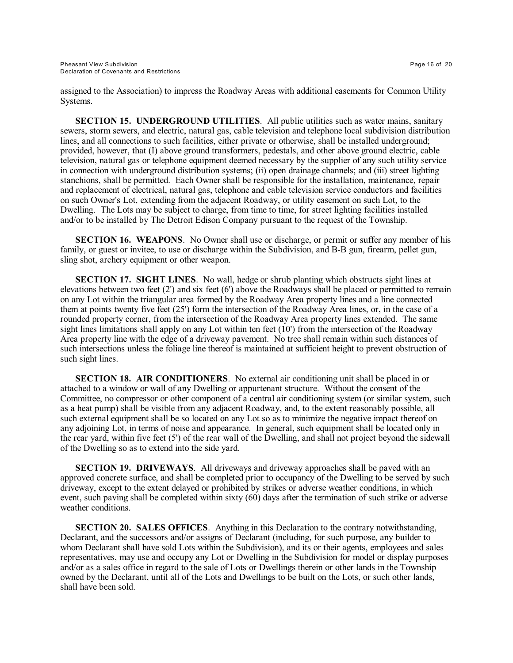assigned to the Association) to impress the Roadway Areas with additional easements for Common Utility Systems.

**SECTION 15. UNDERGROUND UTILITIES**. All public utilities such as water mains, sanitary sewers, storm sewers, and electric, natural gas, cable television and telephone local subdivision distribution lines, and all connections to such facilities, either private or otherwise, shall be installed underground; provided, however, that (I) above ground transformers, pedestals, and other above ground electric, cable television, natural gas or telephone equipment deemed necessary by the supplier of any such utility service in connection with underground distribution systems; (ii) open drainage channels; and (iii) street lighting stanchions, shall be permitted. Each Owner shall be responsible for the installation, maintenance, repair and replacement of electrical, natural gas, telephone and cable television service conductors and facilities on such Owner's Lot, extending from the adjacent Roadway, or utility easement on such Lot, to the Dwelling. The Lots may be subject to charge, from time to time, for street lighting facilities installed and/or to be installed by The Detroit Edison Company pursuant to the request of the Township.

**SECTION 16. WEAPONS.** No Owner shall use or discharge, or permit or suffer any member of his family, or guest or invitee, to use or discharge within the Subdivision, and B-B gun, firearm, pellet gun, sling shot, archery equipment or other weapon.

**SECTION 17. SIGHT LINES**. No wall, hedge or shrub planting which obstructs sight lines at elevations between two feet (2') and six feet (6') above the Roadways shall be placed or permitted to remain on any Lot within the triangular area formed by the Roadway Area property lines and a line connected them at points twenty five feet (25') form the intersection of the Roadway Area lines, or, in the case of a rounded property corner, from the intersection of the Roadway Area property lines extended. The same sight lines limitations shall apply on any Lot within ten feet (10') from the intersection of the Roadway Area property line with the edge of a driveway pavement. No tree shall remain within such distances of such intersections unless the foliage line thereof is maintained at sufficient height to prevent obstruction of such sight lines.

**SECTION 18. AIR CONDITIONERS.** No external air conditioning unit shall be placed in or attached to a window or wall of any Dwelling or appurtenant structure. Without the consent of the Committee, no compressor or other component of a central air conditioning system (or similar system, such as a heat pump) shall be visible from any adjacent Roadway, and, to the extent reasonably possible, all such external equipment shall be so located on any Lot so as to minimize the negative impact thereof on any adjoining Lot, in terms of noise and appearance. In general, such equipment shall be located only in the rear yard, within five feet (5') of the rear wall of the Dwelling, and shall not project beyond the sidewall of the Dwelling so as to extend into the side yard.

**SECTION 19. DRIVEWAYS**. All driveways and driveway approaches shall be paved with an approved concrete surface, and shall be completed prior to occupancy of the Dwelling to be served by such driveway, except to the extent delayed or prohibited by strikes or adverse weather conditions, in which event, such paving shall be completed within sixty (60) days after the termination of such strike or adverse weather conditions.

**SECTION 20. SALES OFFICES**. Anything in this Declaration to the contrary notwithstanding, Declarant, and the successors and/or assigns of Declarant (including, for such purpose, any builder to whom Declarant shall have sold Lots within the Subdivision), and its or their agents, employees and sales representatives, may use and occupy any Lot or Dwelling in the Subdivision for model or display purposes and/or as a sales office in regard to the sale of Lots or Dwellings therein or other lands in the Township owned by the Declarant, until all of the Lots and Dwellings to be built on the Lots, or such other lands, shall have been sold.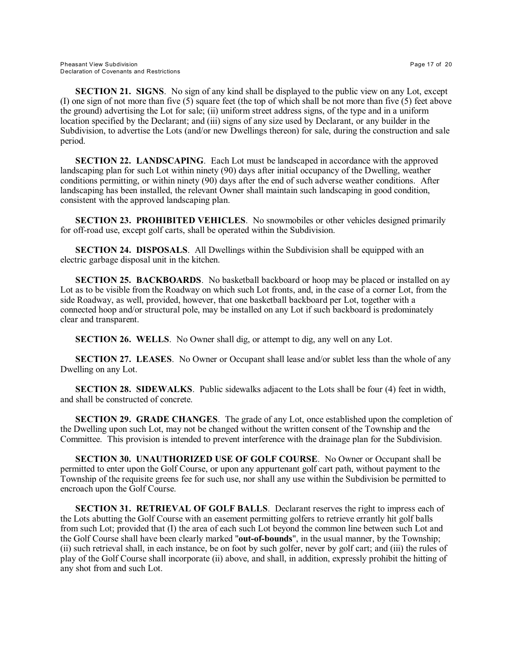**SECTION 21. SIGNS**. No sign of any kind shall be displayed to the public view on any Lot, except (I) one sign of not more than five (5) square feet (the top of which shall be not more than five (5) feet above the ground) advertising the Lot for sale; (ii) uniform street address signs, of the type and in a uniform location specified by the Declarant; and (iii) signs of any size used by Declarant, or any builder in the Subdivision, to advertise the Lots (and/or new Dwellings thereon) for sale, during the construction and sale period.

**SECTION 22. LANDSCAPING**. Each Lot must be landscaped in accordance with the approved landscaping plan for such Lot within ninety (90) days after initial occupancy of the Dwelling, weather conditions permitting, or within ninety (90) days after the end of such adverse weather conditions. After landscaping has been installed, the relevant Owner shall maintain such landscaping in good condition, consistent with the approved landscaping plan.

**SECTION 23. PROHIBITED VEHICLES**. No snowmobiles or other vehicles designed primarily for off-road use, except golf carts, shall be operated within the Subdivision.

**SECTION 24. DISPOSALS**. All Dwellings within the Subdivision shall be equipped with an electric garbage disposal unit in the kitchen.

**SECTION 25. BACKBOARDS**. No basketball backboard or hoop may be placed or installed on ay Lot as to be visible from the Roadway on which such Lot fronts, and, in the case of a corner Lot, from the side Roadway, as well, provided, however, that one basketball backboard per Lot, together with a connected hoop and/or structural pole, may be installed on any Lot if such backboard is predominately clear and transparent.

**SECTION 26. WELLS**. No Owner shall dig, or attempt to dig, any well on any Lot.

**SECTION 27. LEASES.** No Owner or Occupant shall lease and/or sublet less than the whole of any Dwelling on any Lot.

**SECTION 28. SIDEWALKS**. Public sidewalks adjacent to the Lots shall be four (4) feet in width, and shall be constructed of concrete.

**SECTION 29. GRADE CHANGES**. The grade of any Lot, once established upon the completion of the Dwelling upon such Lot, may not be changed without the written consent of the Township and the Committee. This provision is intended to prevent interference with the drainage plan for the Subdivision.

**SECTION 30. UNAUTHORIZED USE OF GOLF COURSE**. No Owner or Occupant shall be permitted to enter upon the Golf Course, or upon any appurtenant golf cart path, without payment to the Township of the requisite greens fee for such use, nor shall any use within the Subdivision be permitted to encroach upon the Golf Course.

**SECTION 31. RETRIEVAL OF GOLF BALLS**. Declarant reserves the right to impress each of the Lots abutting the Golf Course with an easement permitting golfers to retrieve errantly hit golf balls from such Lot; provided that (I) the area of each such Lot beyond the common line between such Lot and the Golf Course shall have been clearly marked "**out-of-bounds**", in the usual manner, by the Township; (ii) such retrieval shall, in each instance, be on foot by such golfer, never by golf cart; and (iii) the rules of play of the Golf Course shall incorporate (ii) above, and shall, in addition, expressly prohibit the hitting of any shot from and such Lot.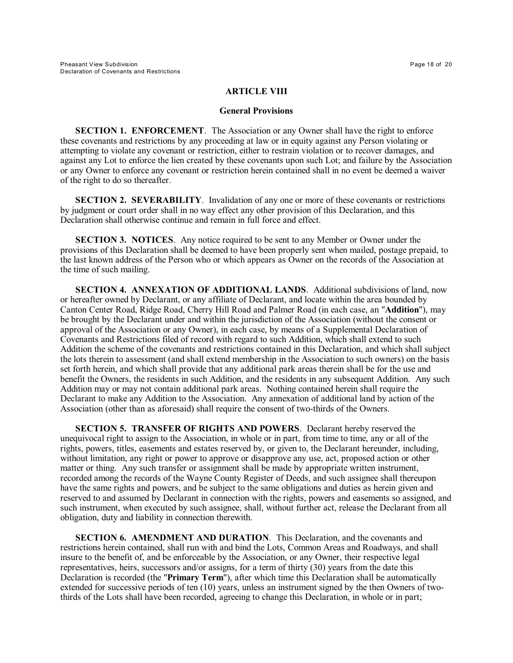### **ARTICLE VIII**

#### **General Provisions**

**SECTION 1. ENFORCEMENT.** The Association or any Owner shall have the right to enforce these covenants and restrictions by any proceeding at law or in equity against any Person violating or attempting to violate any covenant or restriction, either to restrain violation or to recover damages, and against any Lot to enforce the lien created by these covenants upon such Lot; and failure by the Association or any Owner to enforce any covenant or restriction herein contained shall in no event be deemed a waiver of the right to do so thereafter.

**SECTION 2. SEVERABILITY.** Invalidation of any one or more of these covenants or restrictions by judgment or court order shall in no way effect any other provision of this Declaration, and this Declaration shall otherwise continue and remain in full force and effect.

**SECTION 3. NOTICES**. Any notice required to be sent to any Member or Owner under the provisions of this Declaration shall be deemed to have been properly sent when mailed, postage prepaid, to the last known address of the Person who or which appears as Owner on the records of the Association at the time of such mailing.

**SECTION 4. ANNEXATION OF ADDITIONAL LANDS**. Additional subdivisions of land, now or hereafter owned by Declarant, or any affiliate of Declarant, and locate within the area bounded by Canton Center Road, Ridge Road, Cherry Hill Road and Palmer Road (in each case, an "**Addition**"), may be brought by the Declarant under and within the jurisdiction of the Association (without the consent or approval of the Association or any Owner), in each case, by means of a Supplemental Declaration of Covenants and Restrictions filed of record with regard to such Addition, which shall extend to such Addition the scheme of the covenants and restrictions contained in this Declaration, and which shall subject the lots therein to assessment (and shall extend membership in the Association to such owners) on the basis set forth herein, and which shall provide that any additional park areas therein shall be for the use and benefit the Owners, the residents in such Addition, and the residents in any subsequent Addition. Any such Addition may or may not contain additional park areas. Nothing contained herein shall require the Declarant to make any Addition to the Association. Any annexation of additional land by action of the Association (other than as aforesaid) shall require the consent of two-thirds of the Owners.

**SECTION 5. TRANSFER OF RIGHTS AND POWERS**. Declarant hereby reserved the unequivocal right to assign to the Association, in whole or in part, from time to time, any or all of the rights, powers, titles, easements and estates reserved by, or given to, the Declarant hereunder, including, without limitation, any right or power to approve or disapprove any use, act, proposed action or other matter or thing. Any such transfer or assignment shall be made by appropriate written instrument, recorded among the records of the Wayne County Register of Deeds, and such assignee shall thereupon have the same rights and powers, and be subject to the same obligations and duties as herein given and reserved to and assumed by Declarant in connection with the rights, powers and easements so assigned, and such instrument, when executed by such assignee, shall, without further act, release the Declarant from all obligation, duty and liability in connection therewith.

**SECTION 6. AMENDMENT AND DURATION**. This Declaration, and the covenants and restrictions herein contained, shall run with and bind the Lots, Common Areas and Roadways, and shall insure to the benefit of, and be enforceable by the Association, or any Owner, their respective legal representatives, heirs, successors and/or assigns, for a term of thirty (30) years from the date this Declaration is recorded (the "**Primary Term**"), after which time this Declaration shall be automatically extended for successive periods of ten (10) years, unless an instrument signed by the then Owners of twothirds of the Lots shall have been recorded, agreeing to change this Declaration, in whole or in part;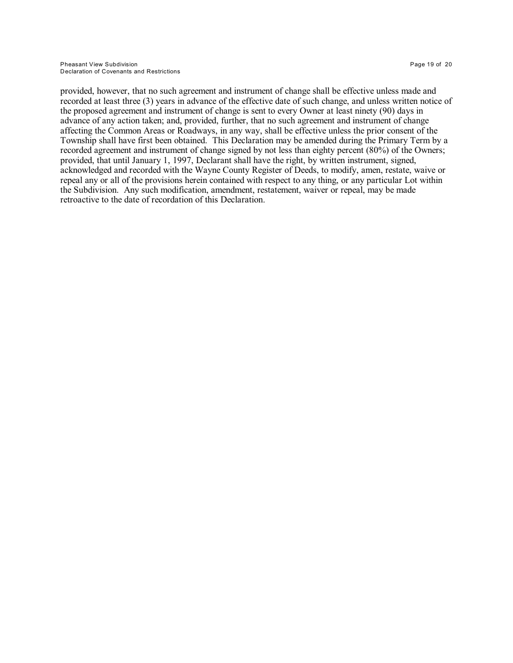provided, however, that no such agreement and instrument of change shall be effective unless made and recorded at least three (3) years in advance of the effective date of such change, and unless written notice of the proposed agreement and instrument of change is sent to every Owner at least ninety (90) days in advance of any action taken; and, provided, further, that no such agreement and instrument of change affecting the Common Areas or Roadways, in any way, shall be effective unless the prior consent of the Township shall have first been obtained. This Declaration may be amended during the Primary Term by a recorded agreement and instrument of change signed by not less than eighty percent (80%) of the Owners; provided, that until January 1, 1997, Declarant shall have the right, by written instrument, signed, acknowledged and recorded with the Wayne County Register of Deeds, to modify, amen, restate, waive or repeal any or all of the provisions herein contained with respect to any thing, or any particular Lot within the Subdivision. Any such modification, amendment, restatement, waiver or repeal, may be made retroactive to the date of recordation of this Declaration.